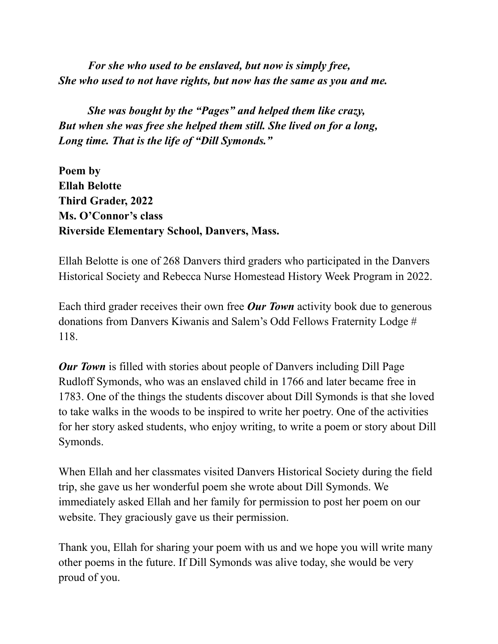*For she who used to be enslaved, but now is simply free, She who used to not have rights, but now has the same as you and me.*

*She was bought by the "Pages" and helped them like crazy, But when she was free she helped them still. She lived on for a long, Long time. That is the life of "Dill Symonds."*

**Poem by Ellah Belotte Third Grader, 2022 Ms. O'Connor's class Riverside Elementary School, Danvers, Mass.**

Ellah Belotte is one of 268 Danvers third graders who participated in the Danvers Historical Society and Rebecca Nurse Homestead History Week Program in 2022.

Each third grader receives their own free *Our Town* activity book due to generous donations from Danvers Kiwanis and Salem's Odd Fellows Fraternity Lodge # 118.

*Our Town* is filled with stories about people of Danvers including Dill Page Rudloff Symonds, who was an enslaved child in 1766 and later became free in 1783. One of the things the students discover about Dill Symonds is that she loved to take walks in the woods to be inspired to write her poetry. One of the activities for her story asked students, who enjoy writing, to write a poem or story about Dill Symonds.

When Ellah and her classmates visited Danvers Historical Society during the field trip, she gave us her wonderful poem she wrote about Dill Symonds. We immediately asked Ellah and her family for permission to post her poem on our website. They graciously gave us their permission.

Thank you, Ellah for sharing your poem with us and we hope you will write many other poems in the future. If Dill Symonds was alive today, she would be very proud of you.